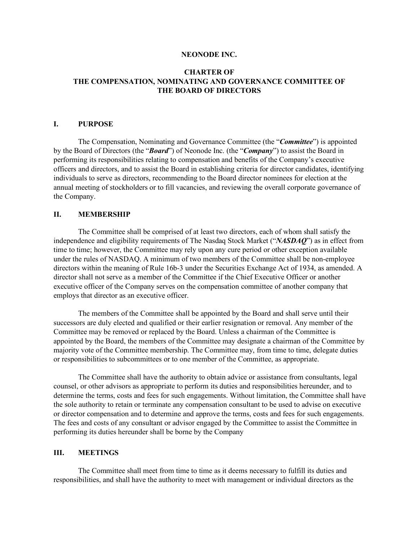#### **NEONODE INC.**

### **CHARTER OF THE COMPENSATION, NOMINATING AND GOVERNANCE COMMITTEE OF THE BOARD OF DIRECTORS**

#### **I. PURPOSE**

The Compensation, Nominating and Governance Committee (the "*Committee*") is appointed by the Board of Directors (the "*Board*") of Neonode Inc. (the "*Company*") to assist the Board in performing its responsibilities relating to compensation and benefits of the Company's executive officers and directors, and to assist the Board in establishing criteria for director candidates, identifying individuals to serve as directors, recommending to the Board director nominees for election at the annual meeting of stockholders or to fill vacancies, and reviewing the overall corporate governance of the Company.

### **II. MEMBERSHIP**

The Committee shall be comprised of at least two directors, each of whom shall satisfy the independence and eligibility requirements of The Nasdaq Stock Market ("*NASDAQ*") as in effect from time to time; however, the Committee may rely upon any cure period or other exception available under the rules of NASDAQ. A minimum of two members of the Committee shall be non-employee directors within the meaning of Rule 16b-3 under the Securities Exchange Act of 1934, as amended. A director shall not serve as a member of the Committee if the Chief Executive Officer or another executive officer of the Company serves on the compensation committee of another company that employs that director as an executive officer.

The members of the Committee shall be appointed by the Board and shall serve until their successors are duly elected and qualified or their earlier resignation or removal. Any member of the Committee may be removed or replaced by the Board. Unless a chairman of the Committee is appointed by the Board, the members of the Committee may designate a chairman of the Committee by majority vote of the Committee membership. The Committee may, from time to time, delegate duties or responsibilities to subcommittees or to one member of the Committee, as appropriate.

The Committee shall have the authority to obtain advice or assistance from consultants, legal counsel, or other advisors as appropriate to perform its duties and responsibilities hereunder, and to determine the terms, costs and fees for such engagements. Without limitation, the Committee shall have the sole authority to retain or terminate any compensation consultant to be used to advise on executive or director compensation and to determine and approve the terms, costs and fees for such engagements. The fees and costs of any consultant or advisor engaged by the Committee to assist the Committee in performing its duties hereunder shall be borne by the Company

### **III. MEETINGS**

The Committee shall meet from time to time as it deems necessary to fulfill its duties and responsibilities, and shall have the authority to meet with management or individual directors as the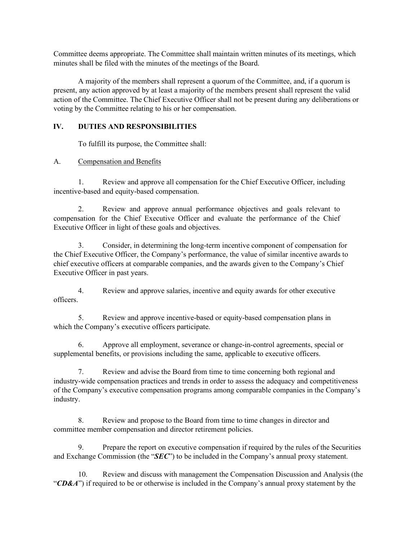Committee deems appropriate. The Committee shall maintain written minutes of its meetings, which minutes shall be filed with the minutes of the meetings of the Board.

A majority of the members shall represent a quorum of the Committee, and, if a quorum is present, any action approved by at least a majority of the members present shall represent the valid action of the Committee. The Chief Executive Officer shall not be present during any deliberations or voting by the Committee relating to his or her compensation.

### **IV. DUTIES AND RESPONSIBILITIES**

To fulfill its purpose, the Committee shall:

# A. Compensation and Benefits

1. Review and approve all compensation for the Chief Executive Officer, including incentive-based and equity-based compensation.

2. Review and approve annual performance objectives and goals relevant to compensation for the Chief Executive Officer and evaluate the performance of the Chief Executive Officer in light of these goals and objectives.

3. Consider, in determining the long-term incentive component of compensation for the Chief Executive Officer, the Company's performance, the value of similar incentive awards to chief executive officers at comparable companies, and the awards given to the Company's Chief Executive Officer in past years.

4. Review and approve salaries, incentive and equity awards for other executive officers.

5. Review and approve incentive-based or equity-based compensation plans in which the Company's executive officers participate.

6. Approve all employment, severance or change-in-control agreements, special or supplemental benefits, or provisions including the same, applicable to executive officers.

7. Review and advise the Board from time to time concerning both regional and industry-wide compensation practices and trends in order to assess the adequacy and competitiveness of the Company's executive compensation programs among comparable companies in the Company's industry.

8. Review and propose to the Board from time to time changes in director and committee member compensation and director retirement policies.

9. Prepare the report on executive compensation if required by the rules of the Securities and Exchange Commission (the "*SEC*") to be included in the Company's annual proxy statement.

10. Review and discuss with management the Compensation Discussion and Analysis (the "**CD&A**") if required to be or otherwise is included in the Company's annual proxy statement by the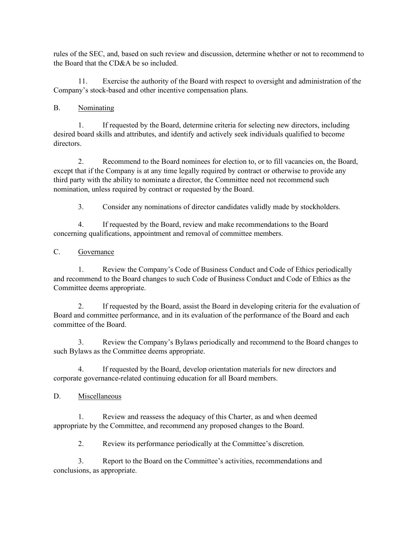rules of the SEC, and, based on such review and discussion, determine whether or not to recommend to the Board that the CD&A be so included.

11. Exercise the authority of the Board with respect to oversight and administration of the Company's stock-based and other incentive compensation plans.

# B. Nominating

1. If requested by the Board, determine criteria for selecting new directors, including desired board skills and attributes, and identify and actively seek individuals qualified to become directors.

2. Recommend to the Board nominees for election to, or to fill vacancies on, the Board, except that if the Company is at any time legally required by contract or otherwise to provide any third party with the ability to nominate a director, the Committee need not recommend such nomination, unless required by contract or requested by the Board.

3. Consider any nominations of director candidates validly made by stockholders.

4. If requested by the Board, review and make recommendations to the Board concerning qualifications, appointment and removal of committee members.

# C. Governance

1. Review the Company's Code of Business Conduct and Code of Ethics periodically and recommend to the Board changes to such Code of Business Conduct and Code of Ethics as the Committee deems appropriate.

2. If requested by the Board, assist the Board in developing criteria for the evaluation of Board and committee performance, and in its evaluation of the performance of the Board and each committee of the Board.

3. Review the Company's Bylaws periodically and recommend to the Board changes to such Bylaws as the Committee deems appropriate.

4. If requested by the Board, develop orientation materials for new directors and corporate governance-related continuing education for all Board members.

D. Miscellaneous

1. Review and reassess the adequacy of this Charter, as and when deemed appropriate by the Committee, and recommend any proposed changes to the Board.

2. Review its performance periodically at the Committee's discretion.

3. Report to the Board on the Committee's activities, recommendations and conclusions, as appropriate.